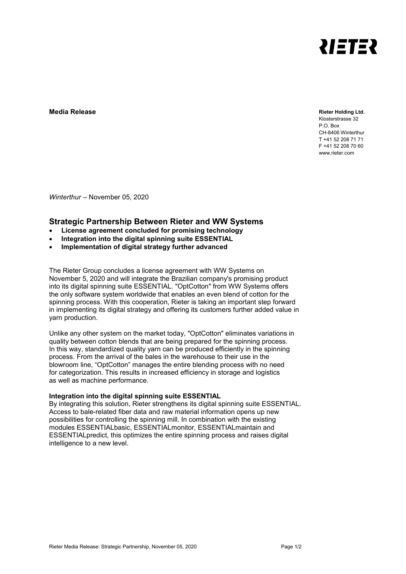

**Media Release Rieter Holding Ltd.**

Klosterstrasse 32

P.O. Box CH-8406 Winterthur T +41 52 208 71 71 F +41 52 208 70 60 www.rieter.com

*Winterthur* – November 05, 2020

## **Strategic Partnership Between Rieter and WW Systems**

- **License agreement concluded for promising technology**
- **Integration into the digital spinning suite ESSENTIAL**
- **Implementation of digital strategy further advanced**

The Rieter Group concludes a license agreement with WW Systems on November 5, 2020 and will integrate the Brazilian company's promising product into its digital spinning suite ESSENTIAL. "OptCotton" from WW Systems offers the only software system worldwide that enables an even blend of cotton for the spinning process. With this cooperation, Rieter is taking an important step forward in implementing its digital strategy and offering its customers further added value in yarn production.

Unlike any other system on the market today, "OptCotton" eliminates variations in quality between cotton blends that are being prepared for the spinning process. In this way, standardized quality yarn can be produced efficiently in the spinning process. From the arrival of the bales in the warehouse to their use in the blowroom line, "OptCotton" manages the entire blending process with no need for categorization. This results in increased efficiency in storage and logistics as well as machine performance.

## **Integration into the digital spinning suite ESSENTIAL**

By integrating this solution, Rieter strengthens its digital spinning suite ESSENTIAL. Access to bale-related fiber data and raw material information opens up new possibilities for controlling the spinning mill. In combination with the existing modules ESSENTIALbasic, ESSENTIALmonitor, ESSENTIALmaintain and ESSENTIALpredict, this optimizes the entire spinning process and raises digital intelligence to a new level.